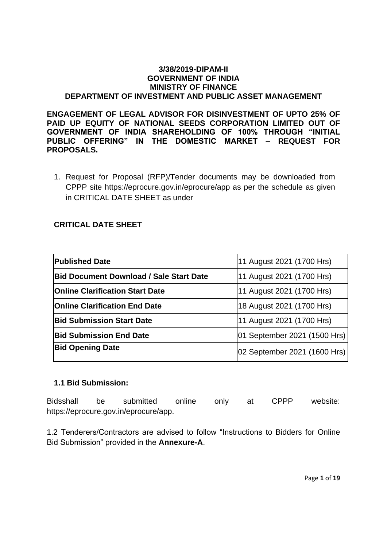#### **3/38/2019-DIPAM-II GOVERNMENT OF INDIA MINISTRY OF FINANCE DEPARTMENT OF INVESTMENT AND PUBLIC ASSET MANAGEMENT**

**ENGAGEMENT OF LEGAL ADVISOR FOR DISINVESTMENT OF UPTO 25% OF PAID UP EQUITY OF NATIONAL SEEDS CORPORATION LIMITED OUT OF GOVERNMENT OF INDIA SHAREHOLDING OF 100% THROUGH "INITIAL PUBLIC OFFERING" IN THE DOMESTIC MARKET – REQUEST FOR PROPOSALS.**

1. Request for Proposal (RFP)/Tender documents may be downloaded from CPPP site https://eprocure.gov.in/eprocure/app as per the schedule as given in CRITICAL DATE SHEET as under

# **CRITICAL DATE SHEET**

| <b>Published Date</b>                          | 11 August 2021 (1700 Hrs)    |
|------------------------------------------------|------------------------------|
| <b>Bid Document Download / Sale Start Date</b> | 11 August 2021 (1700 Hrs)    |
| <b>Online Clarification Start Date</b>         | 11 August 2021 (1700 Hrs)    |
| <b>Online Clarification End Date</b>           | 18 August 2021 (1700 Hrs)    |
| <b>Bid Submission Start Date</b>               | 11 August 2021 (1700 Hrs)    |
| <b>Bid Submission End Date</b>                 | 01 September 2021 (1500 Hrs) |
| <b>Bid Opening Date</b>                        | 02 September 2021 (1600 Hrs) |

# **1.1 Bid Submission:**

Bidsshall be submitted online only at CPPP website: https://eprocure.gov.in/eprocure/app.

1.2 Tenderers/Contractors are advised to follow "Instructions to Bidders for Online Bid Submission" provided in the **Annexure-A**.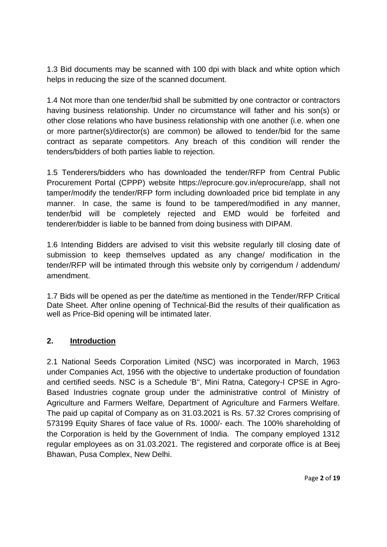1.3 Bid documents may be scanned with 100 dpi with black and white option which helps in reducing the size of the scanned document.

1.4 Not more than one tender/bid shall be submitted by one contractor or contractors having business relationship. Under no circumstance will father and his son(s) or other close relations who have business relationship with one another (i.e. when one or more partner(s)/director(s) are common) be allowed to tender/bid for the same contract as separate competitors. Any breach of this condition will render the tenders/bidders of both parties liable to rejection.

1.5 Tenderers/bidders who has downloaded the tender/RFP from Central Public Procurement Portal (CPPP) website https://eprocure.gov.in/eprocure/app, shall not tamper/modify the tender/RFP form including downloaded price bid template in any manner. In case, the same is found to be tampered/modified in any manner, tender/bid will be completely rejected and EMD would be forfeited and tenderer/bidder is liable to be banned from doing business with DIPAM.

1.6 Intending Bidders are advised to visit this website regularly till closing date of submission to keep themselves updated as any change/ modification in the tender/RFP will be intimated through this website only by corrigendum / addendum/ amendment.

1.7 Bids will be opened as per the date/time as mentioned in the Tender/RFP Critical Date Sheet. After online opening of Technical-Bid the results of their qualification as well as Price-Bid opening will be intimated later.

# **2. Introduction**

2.1 National Seeds Corporation Limited (NSC) was incorporated in March, 1963 under Companies Act, 1956 with the objective to undertake production of foundation and certified seeds. NSC is a Schedule 'B'', Mini Ratna, Category-I CPSE in Agro-Based Industries cognate group under the administrative control of Ministry of Agriculture and Farmers Welfare, Department of Agriculture and Farmers Welfare. The paid up capital of Company as on 31.03.2021 is Rs. 57.32 Crores comprising of 573199 Equity Shares of face value of Rs. 1000/- each. The 100% shareholding of the Corporation is held by the Government of India. The company employed 1312 regular employees as on 31.03.2021. The registered and corporate office is at Beej Bhawan, Pusa Complex, New Delhi.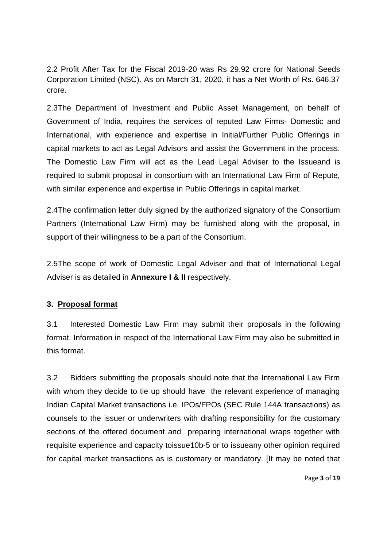2.2 Profit After Tax for the Fiscal 2019-20 was Rs 29.92 crore for National Seeds Corporation Limited (NSC). As on March 31, 2020, it has a Net Worth of Rs. 646.37 crore.

2.3The Department of Investment and Public Asset Management, on behalf of Government of India, requires the services of reputed Law Firms- Domestic and International, with experience and expertise in Initial/Further Public Offerings in capital markets to act as Legal Advisors and assist the Government in the process. The Domestic Law Firm will act as the Lead Legal Adviser to the Issueand is required to submit proposal in consortium with an International Law Firm of Repute, with similar experience and expertise in Public Offerings in capital market.

2.4The confirmation letter duly signed by the authorized signatory of the Consortium Partners (International Law Firm) may be furnished along with the proposal, in support of their willingness to be a part of the Consortium.

2.5The scope of work of Domestic Legal Adviser and that of International Legal Adviser is as detailed in **Annexure I & II** respectively.

# **3. Proposal format**

3.1 Interested Domestic Law Firm may submit their proposals in the following format. Information in respect of the International Law Firm may also be submitted in this format.

3.2 Bidders submitting the proposals should note that the International Law Firm with whom they decide to tie up should have the relevant experience of managing Indian Capital Market transactions i.e. IPOs/FPOs (SEC Rule 144A transactions) as counsels to the issuer or underwriters with drafting responsibility for the customary sections of the offered document and preparing international wraps together with requisite experience and capacity toissue10b-5 or to issueany other opinion required for capital market transactions as is customary or mandatory. [It may be noted that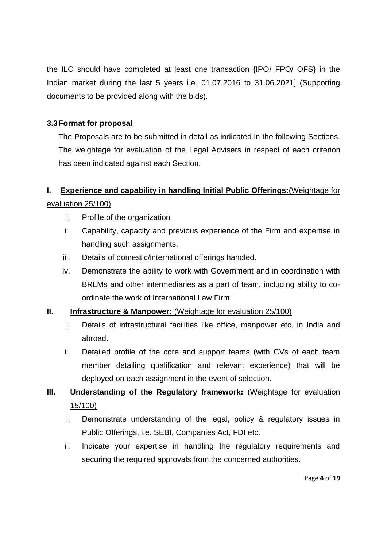the ILC should have completed at least one transaction {IPO/ FPO/ OFS} in the Indian market during the last 5 years i.e. 01.07.2016 to 31.06.2021] (Supporting documents to be provided along with the bids).

### **3.3Format for proposal**

The Proposals are to be submitted in detail as indicated in the following Sections. The weightage for evaluation of the Legal Advisers in respect of each criterion has been indicated against each Section.

# **I. Experience and capability in handling Initial Public Offerings:**(Weightage for evaluation 25/100)

- i. Profile of the organization
- ii. Capability, capacity and previous experience of the Firm and expertise in handling such assignments.
- iii. Details of domestic/international offerings handled.
- iv. Demonstrate the ability to work with Government and in coordination with BRLMs and other intermediaries as a part of team, including ability to coordinate the work of International Law Firm.

# **II. Infrastructure & Manpower:** (Weightage for evaluation 25/100)

- i. Details of infrastructural facilities like office, manpower etc. in India and abroad.
- ii. Detailed profile of the core and support teams (with CVs of each team member detailing qualification and relevant experience) that will be deployed on each assignment in the event of selection.

# **III. Understanding of the Regulatory framework:** (Weightage for evaluation 15/100)

- i. Demonstrate understanding of the legal, policy & regulatory issues in Public Offerings, i.e. SEBI, Companies Act, FDI etc.
- ii. Indicate your expertise in handling the regulatory requirements and securing the required approvals from the concerned authorities.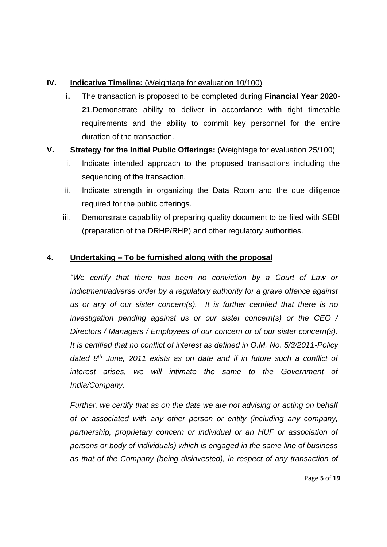### **IV. Indicative Timeline:** (Weightage for evaluation 10/100)

**i.** The transaction is proposed to be completed during **Financial Year 2020- 21**.Demonstrate ability to deliver in accordance with tight timetable requirements and the ability to commit key personnel for the entire duration of the transaction.

# **V. Strategy for the Initial Public Offerings:** (Weightage for evaluation 25/100)

- i. Indicate intended approach to the proposed transactions including the sequencing of the transaction.
- ii. Indicate strength in organizing the Data Room and the due diligence required for the public offerings.
- iii. Demonstrate capability of preparing quality document to be filed with SEBI (preparation of the DRHP/RHP) and other regulatory authorities.

# **4. Undertaking – To be furnished along with the proposal**

*"We certify that there has been no conviction by a Court of Law or indictment/adverse order by a regulatory authority for a grave offence against us or any of our sister concern(s). It is further certified that there is no investigation pending against us or our sister concern(s) or the CEO / Directors / Managers / Employees of our concern or of our sister concern(s). It is certified that no conflict of interest as defined in O.M. No. 5/3/2011-Policy dated 8th June, 2011 exists as on date and if in future such a conflict of interest arises, we will intimate the same to the Government of India/Company.*

*Further, we certify that as on the date we are not advising or acting on behalf of or associated with any other person or entity (including any company, partnership, proprietary concern or individual or an HUF or association of persons or body of individuals) which is engaged in the same line of business as that of the Company (being disinvested), in respect of any transaction of* 

Page **5** of **19**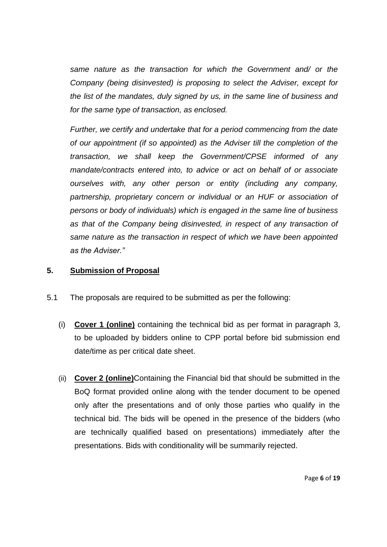*same nature as the transaction for which the Government and/ or the Company (being disinvested) is proposing to select the Adviser, except for the list of the mandates, duly signed by us, in the same line of business and for the same type of transaction, as enclosed.*

*Further, we certify and undertake that for a period commencing from the date of our appointment (if so appointed) as the Adviser till the completion of the transaction, we shall keep the Government/CPSE informed of any mandate/contracts entered into, to advice or act on behalf of or associate ourselves with, any other person or entity (including any company, partnership, proprietary concern or individual or an HUF or association of persons or body of individuals) which is engaged in the same line of business as that of the Company being disinvested, in respect of any transaction of same nature as the transaction in respect of which we have been appointed as the Adviser."*

### **5. Submission of Proposal**

- 5.1 The proposals are required to be submitted as per the following:
	- (i) **Cover 1 (online)** containing the technical bid as per format in paragraph 3, to be uploaded by bidders online to CPP portal before bid submission end date/time as per critical date sheet.
	- (ii) **Cover 2 (online)**Containing the Financial bid that should be submitted in the BoQ format provided online along with the tender document to be opened only after the presentations and of only those parties who qualify in the technical bid. The bids will be opened in the presence of the bidders (who are technically qualified based on presentations) immediately after the presentations. Bids with conditionality will be summarily rejected.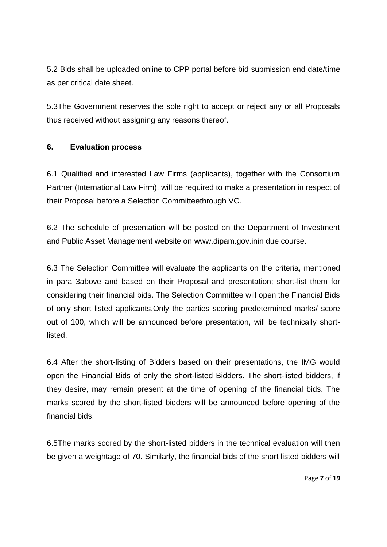5.2 Bids shall be uploaded online to CPP portal before bid submission end date/time as per critical date sheet.

5.3The Government reserves the sole right to accept or reject any or all Proposals thus received without assigning any reasons thereof.

# **6. Evaluation process**

6.1 Qualified and interested Law Firms (applicants), together with the Consortium Partner (International Law Firm), will be required to make a presentation in respect of their Proposal before a Selection Committeethrough VC.

6.2 The schedule of presentation will be posted on the Department of Investment and Public Asset Management website on [www.dipam.gov.ini](http://www.dipam.gov.in/)n due course.

6.3 The Selection Committee will evaluate the applicants on the criteria, mentioned in para 3above and based on their Proposal and presentation; short-list them for considering their financial bids. The Selection Committee will open the Financial Bids of only short listed applicants.Only the parties scoring predetermined marks/ score out of 100, which will be announced before presentation, will be technically shortlisted.

6.4 After the short-listing of Bidders based on their presentations, the IMG would open the Financial Bids of only the short-listed Bidders. The short-listed bidders, if they desire, may remain present at the time of opening of the financial bids. The marks scored by the short-listed bidders will be announced before opening of the financial bids.

6.5The marks scored by the short-listed bidders in the technical evaluation will then be given a weightage of 70. Similarly, the financial bids of the short listed bidders will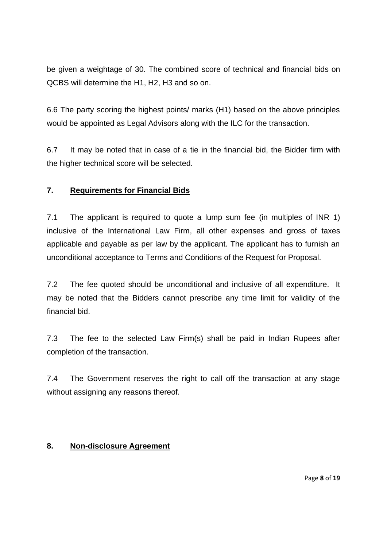be given a weightage of 30. The combined score of technical and financial bids on QCBS will determine the H1, H2, H3 and so on.

6.6 The party scoring the highest points/ marks (H1) based on the above principles would be appointed as Legal Advisors along with the ILC for the transaction.

6.7 It may be noted that in case of a tie in the financial bid, the Bidder firm with the higher technical score will be selected.

# **7. Requirements for Financial Bids**

7.1 The applicant is required to quote a lump sum fee (in multiples of INR 1) inclusive of the International Law Firm, all other expenses and gross of taxes applicable and payable as per law by the applicant. The applicant has to furnish an unconditional acceptance to Terms and Conditions of the Request for Proposal.

7.2 The fee quoted should be unconditional and inclusive of all expenditure. It may be noted that the Bidders cannot prescribe any time limit for validity of the financial bid.

7.3 The fee to the selected Law Firm(s) shall be paid in Indian Rupees after completion of the transaction.

7.4 The Government reserves the right to call off the transaction at any stage without assigning any reasons thereof.

# **8. Non-disclosure Agreement**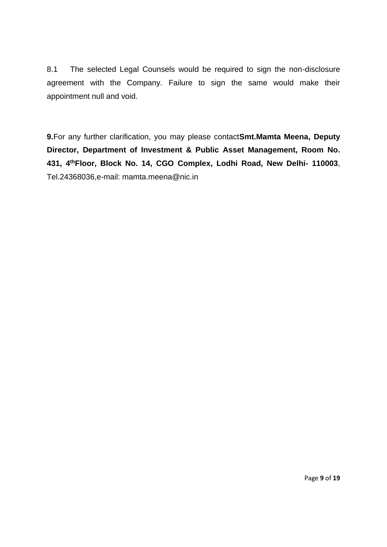8.1 The selected Legal Counsels would be required to sign the non-disclosure agreement with the Company. Failure to sign the same would make their appointment null and void.

**9.**For any further clarification, you may please contact**Smt.Mamta Meena, Deputy Director, Department of Investment & Public Asset Management, Room No. 431, 4thFloor, Block No. 14, CGO Complex, Lodhi Road, New Delhi- 110003**, Tel.24368036,e-mail: mamta.meena@nic.in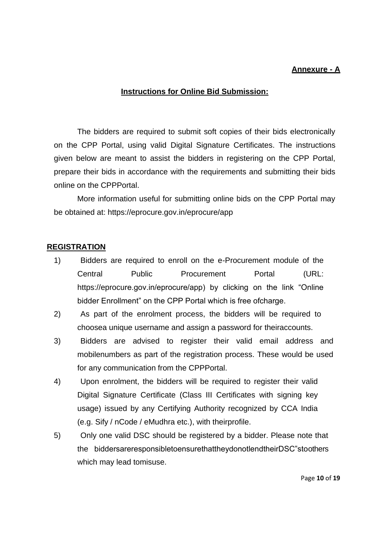### **Annexure - A**

#### **Instructions for Online Bid Submission:**

The bidders are required to submit soft copies of their bids electronically on the CPP Portal, using valid Digital Signature Certificates. The instructions given below are meant to assist the bidders in registering on the CPP Portal, prepare their bids in accordance with the requirements and submitting their bids online on the CPPPortal.

More information useful for submitting online bids on the CPP Portal may be obtained at: https://eprocure.gov.in/eprocure/app

### **REGISTRATION**

- 1) Bidders are required to enroll on the e-Procurement module of the Central Public Procurement Portal (URL: https://eprocure.gov.in/eprocure/app) by clicking on the link "Online bidder Enrollment" on the CPP Portal which is free ofcharge.
- 2) As part of the enrolment process, the bidders will be required to choosea unique username and assign a password for theiraccounts.
- 3) Bidders are advised to register their valid email address and mobilenumbers as part of the registration process. These would be used for any communication from the CPPPortal.
- 4) Upon enrolment, the bidders will be required to register their valid Digital Signature Certificate (Class III Certificates with signing key usage) issued by any Certifying Authority recognized by CCA India (e.g. Sify / nCode / eMudhra etc.), with theirprofile.
- 5) Only one valid DSC should be registered by a bidder. Please note that the biddersareresponsibletoensurethattheydonotlendtheirDSC"stoothers which may lead tomisuse.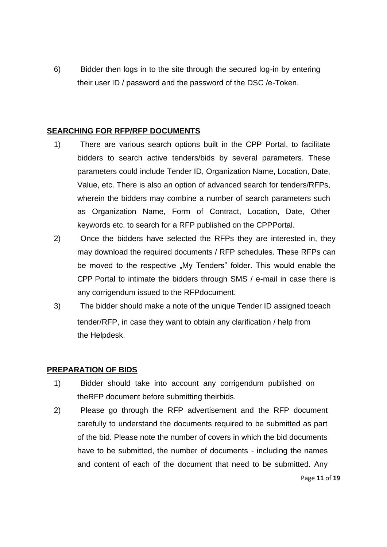6) Bidder then logs in to the site through the secured log-in by entering their user ID / password and the password of the DSC /e-Token.

### **SEARCHING FOR RFP/RFP DOCUMENTS**

- 1) There are various search options built in the CPP Portal, to facilitate bidders to search active tenders/bids by several parameters. These parameters could include Tender ID, Organization Name, Location, Date, Value, etc. There is also an option of advanced search for tenders/RFPs, wherein the bidders may combine a number of search parameters such as Organization Name, Form of Contract, Location, Date, Other keywords etc. to search for a RFP published on the CPPPortal.
- 2) Once the bidders have selected the RFPs they are interested in, they may download the required documents / RFP schedules. These RFPs can be moved to the respective "My Tenders" folder. This would enable the CPP Portal to intimate the bidders through SMS / e-mail in case there is any corrigendum issued to the RFPdocument.
- 3) The bidder should make a note of the unique Tender ID assigned toeach tender/RFP, in case they want to obtain any clarification / help from the Helpdesk.

### **PREPARATION OF BIDS**

- 1) Bidder should take into account any corrigendum published on theRFP document before submitting theirbids.
- 2) Please go through the RFP advertisement and the RFP document carefully to understand the documents required to be submitted as part of the bid. Please note the number of covers in which the bid documents have to be submitted, the number of documents - including the names and content of each of the document that need to be submitted. Any

Page **11** of **19**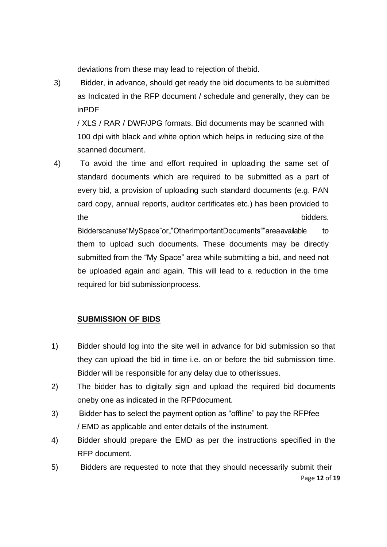deviations from these may lead to rejection of thebid.

3) Bidder, in advance, should get ready the bid documents to be submitted as Indicated in the RFP document / schedule and generally, they can be inPDF

/ XLS / RAR / DWF/JPG formats. Bid documents may be scanned with 100 dpi with black and white option which helps in reducing size of the scanned document.

4) To avoid the time and effort required in uploading the same set of standard documents which are required to be submitted as a part of every bid, a provision of uploading such standard documents (e.g. PAN card copy, annual reports, auditor certificates etc.) has been provided to the bidders.

Bidderscanuse "MySpace" or "OtherImportantDocuments" "areaavailable to them to upload such documents. These documents may be directly submitted from the "My Space" area while submitting a bid, and need not be uploaded again and again. This will lead to a reduction in the time required for bid submissionprocess.

# **SUBMISSION OF BIDS**

- 1) Bidder should log into the site well in advance for bid submission so that they can upload the bid in time i.e. on or before the bid submission time. Bidder will be responsible for any delay due to otherissues.
- 2) The bidder has to digitally sign and upload the required bid documents oneby one as indicated in the RFPdocument.
- 3) Bidder has to select the payment option as "offline" to pay the RFPfee / EMD as applicable and enter details of the instrument.
- 4) Bidder should prepare the EMD as per the instructions specified in the RFP document.
- Page **12** of **19** 5) Bidders are requested to note that they should necessarily submit their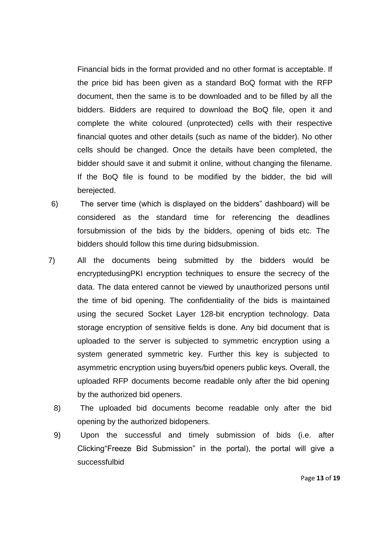Financial bids in the format provided and no other format is acceptable. If the price bid has been given as a standard BoQ format with the RFP document, then the same is to be downloaded and to be filled by all the bidders. Bidders are required to download the BoQ file, open it and complete the white coloured (unprotected) cells with their respective financial quotes and other details (such as name of the bidder). No other cells should be changed. Once the details have been completed, the bidder should save it and submit it online, without changing the filename. If the BoQ file is found to be modified by the bidder, the bid will berejected.

- 6) The server time (which is displayed on the bidders" dashboard) will be considered as the standard time for referencing the deadlines forsubmission of the bids by the bidders, opening of bids etc. The bidders should follow this time during bidsubmission.
- 7) All the documents being submitted by the bidders would be encryptedusingPKI encryption techniques to ensure the secrecy of the data. The data entered cannot be viewed by unauthorized persons until the time of bid opening. The confidentiality of the bids is maintained using the secured Socket Layer 128-bit encryption technology. Data storage encryption of sensitive fields is done. Any bid document that is uploaded to the server is subjected to symmetric encryption using a system generated symmetric key. Further this key is subjected to asymmetric encryption using buyers/bid openers public keys. Overall, the uploaded RFP documents become readable only after the bid opening by the authorized bid openers.
	- 8) The uploaded bid documents become readable only after the bid opening by the authorized bidopeners.
	- 9) Upon the successful and timely submission of bids (i.e. after Clicking"Freeze Bid Submission" in the portal), the portal will give a successfulbid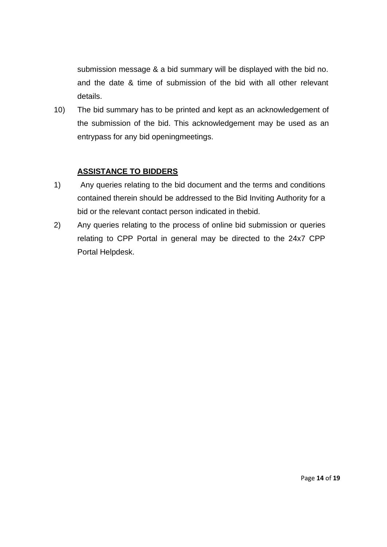submission message & a bid summary will be displayed with the bid no. and the date & time of submission of the bid with all other relevant details.

10) The bid summary has to be printed and kept as an acknowledgement of the submission of the bid. This acknowledgement may be used as an entrypass for any bid openingmeetings.

### **ASSISTANCE TO BIDDERS**

- 1) Any queries relating to the bid document and the terms and conditions contained therein should be addressed to the Bid Inviting Authority for a bid or the relevant contact person indicated in thebid.
- 2) Any queries relating to the process of online bid submission or queries relating to CPP Portal in general may be directed to the 24x7 CPP Portal Helpdesk.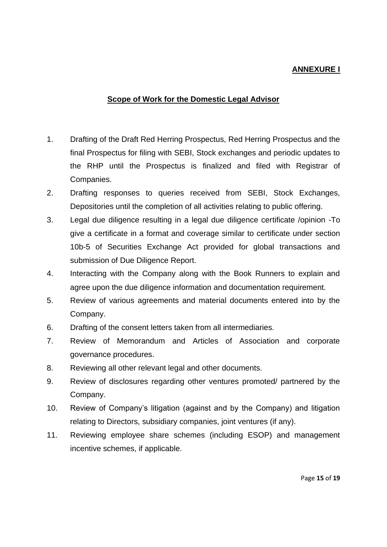### **ANNEXURE I**

### **Scope of Work for the Domestic Legal Advisor**

- 1. Drafting of the Draft Red Herring Prospectus, Red Herring Prospectus and the final Prospectus for filing with SEBI, Stock exchanges and periodic updates to the RHP until the Prospectus is finalized and filed with Registrar of Companies.
- 2. Drafting responses to queries received from SEBI, Stock Exchanges, Depositories until the completion of all activities relating to public offering.
- 3. Legal due diligence resulting in a legal due diligence certificate /opinion -To give a certificate in a format and coverage similar to certificate under section 10b-5 of Securities Exchange Act provided for global transactions and submission of Due Diligence Report.
- 4. Interacting with the Company along with the Book Runners to explain and agree upon the due diligence information and documentation requirement.
- 5. Review of various agreements and material documents entered into by the Company.
- 6. Drafting of the consent letters taken from all intermediaries.
- 7. Review of Memorandum and Articles of Association and corporate governance procedures.
- 8. Reviewing all other relevant legal and other documents.
- 9. Review of disclosures regarding other ventures promoted/ partnered by the Company.
- 10. Review of Company's litigation (against and by the Company) and litigation relating to Directors, subsidiary companies, joint ventures (if any).
- 11. Reviewing employee share schemes (including ESOP) and management incentive schemes, if applicable.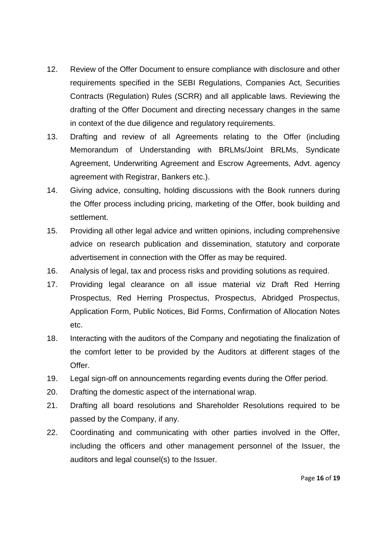- 12. Review of the Offer Document to ensure compliance with disclosure and other requirements specified in the SEBI Regulations, Companies Act, Securities Contracts (Regulation) Rules (SCRR) and all applicable laws. Reviewing the drafting of the Offer Document and directing necessary changes in the same in context of the due diligence and regulatory requirements.
- 13. Drafting and review of all Agreements relating to the Offer (including Memorandum of Understanding with BRLMs/Joint BRLMs, Syndicate Agreement, Underwriting Agreement and Escrow Agreements, Advt. agency agreement with Registrar, Bankers etc.).
- 14. Giving advice, consulting, holding discussions with the Book runners during the Offer process including pricing, marketing of the Offer, book building and settlement.
- 15. Providing all other legal advice and written opinions, including comprehensive advice on research publication and dissemination, statutory and corporate advertisement in connection with the Offer as may be required.
- 16. Analysis of legal, tax and process risks and providing solutions as required.
- 17. Providing legal clearance on all issue material viz Draft Red Herring Prospectus, Red Herring Prospectus, Prospectus, Abridged Prospectus, Application Form, Public Notices, Bid Forms, Confirmation of Allocation Notes etc.
- 18. Interacting with the auditors of the Company and negotiating the finalization of the comfort letter to be provided by the Auditors at different stages of the Offer.
- 19. Legal sign-off on announcements regarding events during the Offer period.
- 20. Drafting the domestic aspect of the international wrap.
- 21. Drafting all board resolutions and Shareholder Resolutions required to be passed by the Company, if any.
- 22. Coordinating and communicating with other parties involved in the Offer, including the officers and other management personnel of the Issuer, the auditors and legal counsel(s) to the Issuer.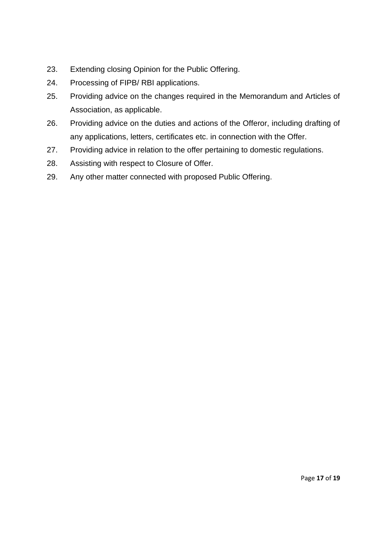- 23. Extending closing Opinion for the Public Offering.
- 24. Processing of FIPB/ RBI applications.
- 25. Providing advice on the changes required in the Memorandum and Articles of Association, as applicable.
- 26. Providing advice on the duties and actions of the Offeror, including drafting of any applications, letters, certificates etc. in connection with the Offer.
- 27. Providing advice in relation to the offer pertaining to domestic regulations.
- 28. Assisting with respect to Closure of Offer.
- 29. Any other matter connected with proposed Public Offering.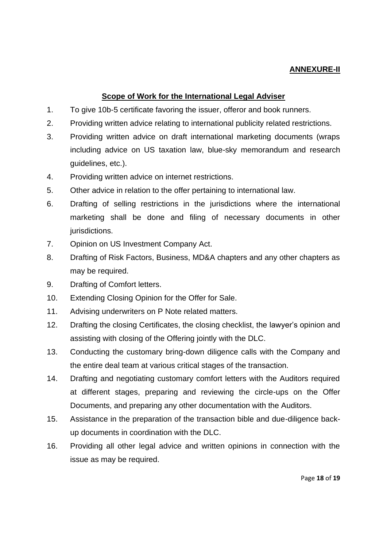### **ANNEXURE-II**

### **Scope of Work for the International Legal Adviser**

- 1. To give 10b-5 certificate favoring the issuer, offeror and book runners.
- 2. Providing written advice relating to international publicity related restrictions.
- 3. Providing written advice on draft international marketing documents (wraps including advice on US taxation law, blue-sky memorandum and research guidelines, etc.).
- 4. Providing written advice on internet restrictions.
- 5. Other advice in relation to the offer pertaining to international law.
- 6. Drafting of selling restrictions in the jurisdictions where the international marketing shall be done and filing of necessary documents in other jurisdictions.
- 7. Opinion on US Investment Company Act.
- 8. Drafting of Risk Factors, Business, MD&A chapters and any other chapters as may be required.
- 9. Drafting of Comfort letters.
- 10. Extending Closing Opinion for the Offer for Sale.
- 11. Advising underwriters on P Note related matters.
- 12. Drafting the closing Certificates, the closing checklist, the lawyer's opinion and assisting with closing of the Offering jointly with the DLC.
- 13. Conducting the customary bring-down diligence calls with the Company and the entire deal team at various critical stages of the transaction.
- 14. Drafting and negotiating customary comfort letters with the Auditors required at different stages, preparing and reviewing the circle-ups on the Offer Documents, and preparing any other documentation with the Auditors.
- 15. Assistance in the preparation of the transaction bible and due-diligence backup documents in coordination with the DLC.
- 16. Providing all other legal advice and written opinions in connection with the issue as may be required.